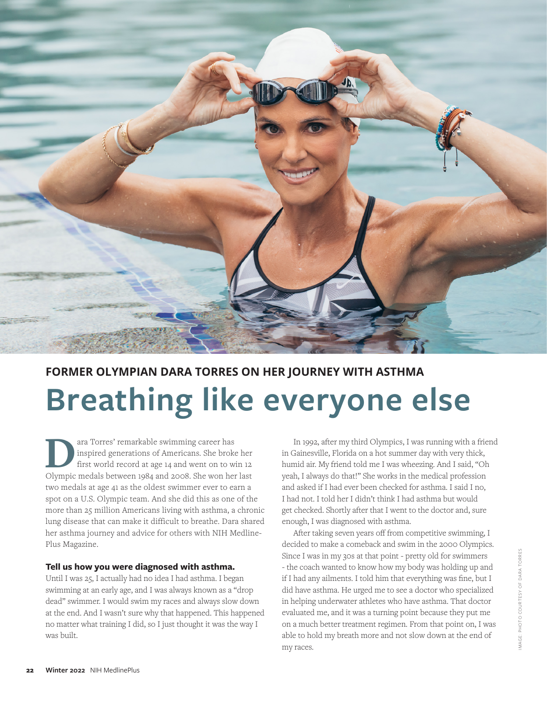

# **FORMER OLYMPIAN DARA TORRES ON HER JOURNEY WITH ASTHMA Breathing like everyone else**

**DEA**<br>ara Torres' remarkable swimming career has<br>inspired generations of Americans. She broke<br>first world record at age 14 and went on to w<br>Olympic medals between 1084 and 2008. She won between inspired generations of Americans. She broke her first world record at age 14 and went on to win 12 Olympic medals between 1984 and 2008. She won her last two medals at age 41 as the oldest swimmer ever to earn a spot on a U.S. Olympic team. And she did this as one of the more than 25 million Americans living with asthma, a chronic lung disease that can make it difficult to breathe. Dara shared her asthma journey and advice for others with NIH Medline-Plus Magazine.

#### **Tell us how you were diagnosed with asthma.**

Until I was 25, I actually had no idea I had asthma. I began swimming at an early age, and I was always known as a "drop dead" swimmer. I would swim my races and always slow down at the end. And I wasn't sure why that happened. This happened no matter what training I did, so I just thought it was the way I was built.

In 1992, after my third Olympics, I was running with a friend in Gainesville, Florida on a hot summer day with very thick, humid air. My friend told me I was wheezing. And I said, "Oh yeah, I always do that!" She works in the medical profession and asked if I had ever been checked for asthma. I said I no, I had not. I told her I didn't think I had asthma but would get checked. Shortly after that I went to the doctor and, sure enough, I was diagnosed with asthma.

After taking seven years off from competitive swimming, I decided to make a comeback and swim in the 2000 Olympics. Since I was in my 30s at that point - pretty old for swimmers - the coach wanted to know how my body was holding up and if I had any ailments. I told him that everything was fine, but I did have asthma. He urged me to see a doctor who specialized in helping underwater athletes who have asthma. That doctor evaluated me, and it was a turning point because they put me on a much better treatment regimen. From that point on, I was able to hold my breath more and not slow down at the end of my races.